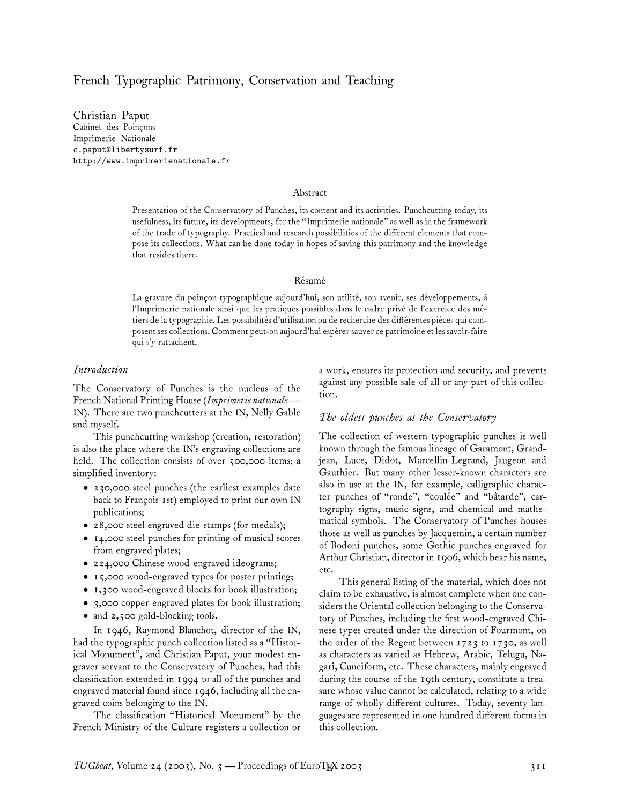## French Typographic Patrimony, Conservation and Teaching

Christian Paput Cabinet des Poinçons Imprimerie Nationale c.paput@libertysurf.fr http://www.imprimerienationale.fr

#### Abstract

Presentation of the Conservatory of Punches, its content and its activities. Punchcutting today, its usefulness, its future, its developments, for the "Imprimerie nationale" as well as in the framework of the trade of typography. Practical and research possibilities of the different elements that compose its collections. What can be done today in hopes of saving this patrimony and the knowledge that resides there.

#### Résumé

La gravure du poinçon typographique aujourd'hui, son utilité, son avenir, ses développements, à l'Imprimerie nationale ainsi que les pratiques possibles dans le cadre privé de l'exercice des métiers de la typographie. Les possibilités d'utilisation ou de recherche des différentes pièces qui composent ses collections. Comment peut-on aujourd'hui espérer sauver ce patrimoine et les savoir-faire qui s'y rattachent.

#### *Introduction*

The Conservatory of Punches is the nucleus of the French National Printing House (*Imprimerie nationale*— IN). There are two punchcutters at the IN, Nelly Gable and myself.

This punchcutting workshop (creation, restoration) is also the place where the IN's engraving collections are held. The collection consists of over 500,000 items; a simplified inventory:

- 230,000 steel punches (the earliest examples date back to François 1st) employed to print our own IN publications;
- 28,000 steel engraved die-stamps (for medals);
- 14,000 steel punches for printing of musical scores from engraved plates;
- 224,000 Chinese wood-engraved ideograms;
- 15,000 wood-engraved types for poster printing;
- 1,300 wood-engraved blocks for book illustration;
- 3,000 copper-engraved plates for book illustration;
- and 2,500 gold-blocking tools.

In 1946, Raymond Blanchot, director of the IN, had the typographic punch collection listed as a "Historical Monument", and Christian Paput, your modest engraver servant to the Conservatory of Punches, had this classification extended in 1994 to all of the punches and engraved material found since 1946, including all the engraved coins belonging to the IN.

The classification "Historical Monument" by the French Ministry of the Culture registers a collection or

a work, ensures its protection and security, and prevents against any possible sale of all or any part of this collection.

#### *The oldest punches at the Conservatory*

The collection of western typographic punches is well known through the famous lineage of Garamont, Grandjean, Luce, Didot, Marcellin-Legrand, Jaugeon and Gauthier. But many other lesser-known characters are also in use at the IN, for example, calligraphic character punches of "ronde", "coulée" and "bâtarde", cartography signs, music signs, and chemical and mathematical symbols. The Conservatory of Punches houses those as well as punches by Jacquemin, a certain number of Bodoni punches, some Gothic punches engraved for Arthur Christian, director in 1906, which bear his name, etc.

This general listing of the material, which does not claim to be exhaustive, is almost complete when one considers the Oriental collection belonging to the Conservatory of Punches, including the first wood-engraved Chinese types created under the direction of Fourmont, on the order of the Regent between 1723 to 1730, as well as characters as varied as Hebrew, Arabic, Telugu, Nagari, Cuneiform, etc. These characters, mainly engraved during the course of the 19th century, constitute a treasure whose value cannot be calculated, relating to a wide range of wholly different cultures. Today, seventy languages are represented in one hundred different forms in this collection.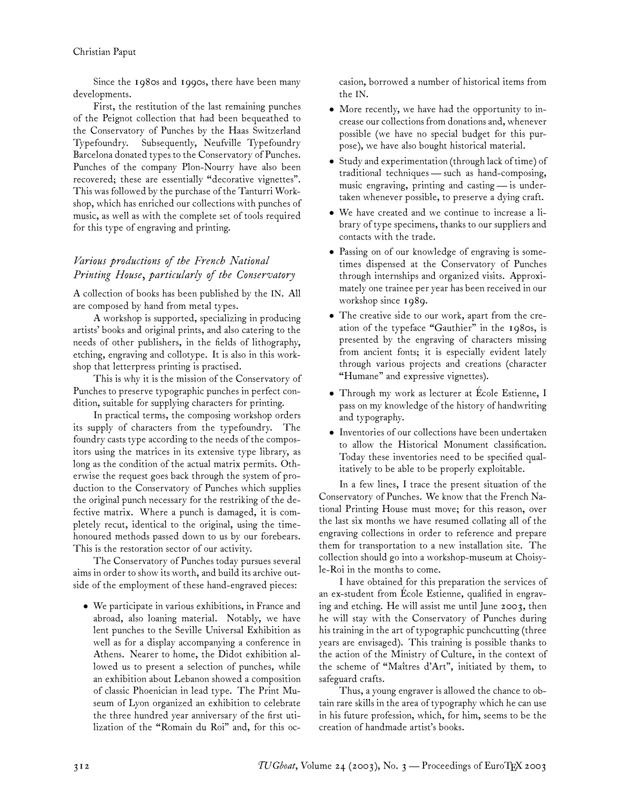Since the 1980s and 1990s, there have been many developments.

First, the restitution of the last remaining punches of the Peignot collection that had been bequeathed to the Conservatory of Punches by the Haas Switzerland Typefoundry. Subsequently, Neufville Typefoundry Barcelona donated types to the Conservatory of Punches. Punches of the company Plon-Nourry have also been recovered; these are essentially "decorative vignettes". This was followed by the purchase of the Tanturri Workshop, which has enriched our collections with punches of music, as well as with the complete set of tools required for this type of engraving and printing.

# *Various productions of the French National Printing House, particularly of the Conservatory*

A collection of books has been published by the IN. All are composed by hand from metal types.

A workshop is supported, specializing in producing artists' books and original prints, and also catering to the needs of other publishers, in the fields of lithography, etching, engraving and collotype. It is also in this workshop that letterpress printing is practised.

This is why it is the mission of the Conservatory of Punches to preserve typographic punches in perfect condition, suitable for supplying characters for printing.

In practical terms, the composing workshop orders its supply of characters from the typefoundry. The foundry casts type according to the needs of the compositors using the matrices in its extensive type library, as long as the condition of the actual matrix permits. Otherwise the request goes back through the system of production to the Conservatory of Punches which supplies the original punch necessary for the restriking of the defective matrix. Where a punch is damaged, it is completely recut, identical to the original, using the timehonoured methods passed down to us by our forebears. This is the restoration sector of our activity.

The Conservatory of Punches today pursues several aims in order to show its worth, and build its archive outside of the employment of these hand-engraved pieces:

• We participate in various exhibitions, in France and abroad, also loaning material. Notably, we have lent punches to the Seville Universal Exhibition as well as for a display accompanying a conference in Athens. Nearer to home, the Didot exhibition allowed us to present a selection of punches, while an exhibition about Lebanon showed a composition of classic Phoenician in lead type. The Print Museum of Lyon organized an exhibition to celebrate the three hundred year anniversary of the first utilization of the "Romain du Roi" and, for this occasion, borrowed a number of historical items from the IN.

- More recently, we have had the opportunity to increase our collections from donations and, whenever possible (we have no special budget for this purpose), we have also bought historical material.
- Study and experimentation (through lack of time) of traditional techniques— such as hand-composing, music engraving, printing and casting— is undertaken whenever possible, to preserve a dying craft.
- We have created and we continue to increase a library of type specimens, thanks to our suppliers and contacts with the trade.
- Passing on of our knowledge of engraving is sometimes dispensed at the Conservatory of Punches through internships and organized visits. Approximately one trainee per year has been received in our workshop since 1989.
- The creative side to our work, apart from the creation of the typeface "Gauthier" in the 1980s, is presented by the engraving of characters missing from ancient fonts; it is especially evident lately through various projects and creations (character "Humane" and expressive vignettes).
- Through my work as lecturer at École Estienne, I pass on my knowledge of the history of handwriting and typography.
- Inventories of our collections have been undertaken to allow the Historical Monument classification. Today these inventories need to be specified qualitatively to be able to be properly exploitable.

In a few lines, I trace the present situation of the Conservatory of Punches. We know that the French National Printing House must move; for this reason, over the last six months we have resumed collating all of the engraving collections in order to reference and prepare them for transportation to a new installation site. The collection should go into a workshop-museum at Choisyle-Roi in the months to come.

I have obtained for this preparation the services of an ex-student from École Estienne, qualified in engraving and etching. He will assist me until June 2003, then he will stay with the Conservatory of Punches during his training in the art of typographic punchcutting (three years are envisaged). This training is possible thanks to the action of the Ministry of Culture, in the context of the scheme of "Maîtres d'Art", initiated by them, to safeguard crafts.

Thus, a young engraver is allowed the chance to obtain rare skills in the area of typography which he can use in his future profession, which, for him, seems to be the creation of handmade artist's books.